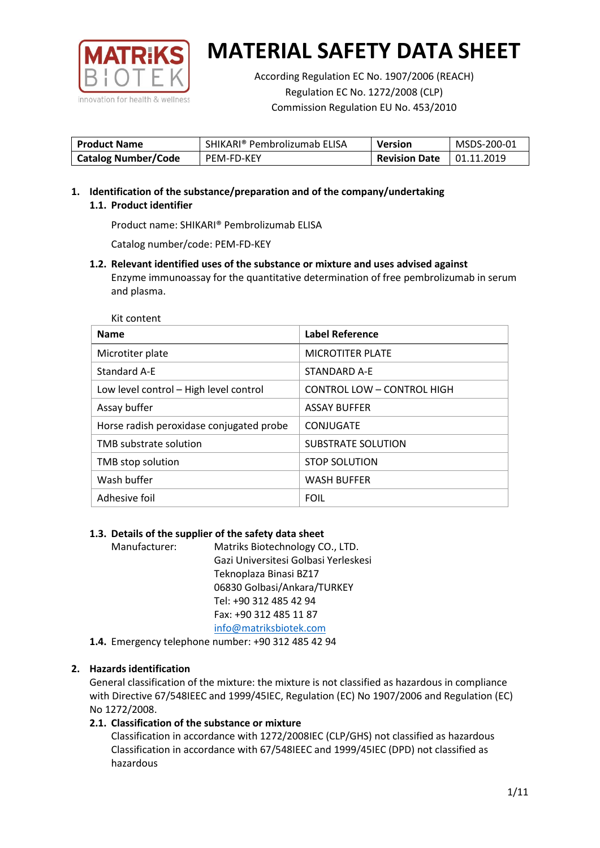

According Regulation EC No. 1907/2006 (REACH) Regulation EC No. 1272/2008 (CLP) Commission Regulation EU No. 453/2010

| <b>Product Name</b>        | SHIKARI® Pembrolizumab ELISA | <b>Version</b>       | MSDS-200-01 |
|----------------------------|------------------------------|----------------------|-------------|
| <b>Catalog Number/Code</b> | PEM-FD-KEY                   | <b>Revision Date</b> | 01.11.2019  |

**1. Identification of the substance/preparation and of the company/undertaking 1.1. Product identifier**

Product name: SHIKARI® Pembrolizumab ELISA

Catalog number/code: PEM-FD-KEY

**1.2. Relevant identified uses of the substance or mixture and uses advised against** Enzyme immunoassay for the quantitative determination of free pembrolizumab in serum and plasma.

Kit content

| <b>Name</b>                              | Label Reference                   |
|------------------------------------------|-----------------------------------|
| Microtiter plate                         | <b>MICROTITER PLATE</b>           |
| <b>Standard A-E</b>                      | STANDARD A-F                      |
| Low level control - High level control   | <b>CONTROL LOW - CONTROL HIGH</b> |
| Assay buffer                             | <b>ASSAY BUFFER</b>               |
| Horse radish peroxidase conjugated probe | CONJUGATE                         |
| TMB substrate solution                   | SUBSTRATE SOLUTION                |
| TMB stop solution                        | <b>STOP SOLUTION</b>              |
| Wash buffer                              | <b>WASH BUFFER</b>                |
| Adhesive foil                            | <b>FOIL</b>                       |

### **1.3. Details of the supplier of the safety data sheet**

Manufacturer: Matriks Biotechnology CO., LTD. Gazi Universitesi Golbasi Yerleskesi Teknoplaza Binasi BZ17 06830 Golbasi/Ankara/TURKEY Tel: +90 312 485 42 94 Fax: +90 312 485 11 87 [info@matriksbiotek.com](mailto:info@matriksbiotek.com)

**1.4.** Emergency telephone number: +90 312 485 42 94

# **2. Hazards identification**

General classification of the mixture: the mixture is not classified as hazardous in compliance with Directive 67/548IEEC and 1999/45IEC, Regulation (EC) No 1907/2006 and Regulation (EC) No 1272/2008.

# **2.1. Classification of the substance or mixture**

Classification in accordance with 1272/2008IEC (CLP/GHS) not classified as hazardous Classification in accordance with 67/548IEEC and 1999/45IEC (DPD) not classified as hazardous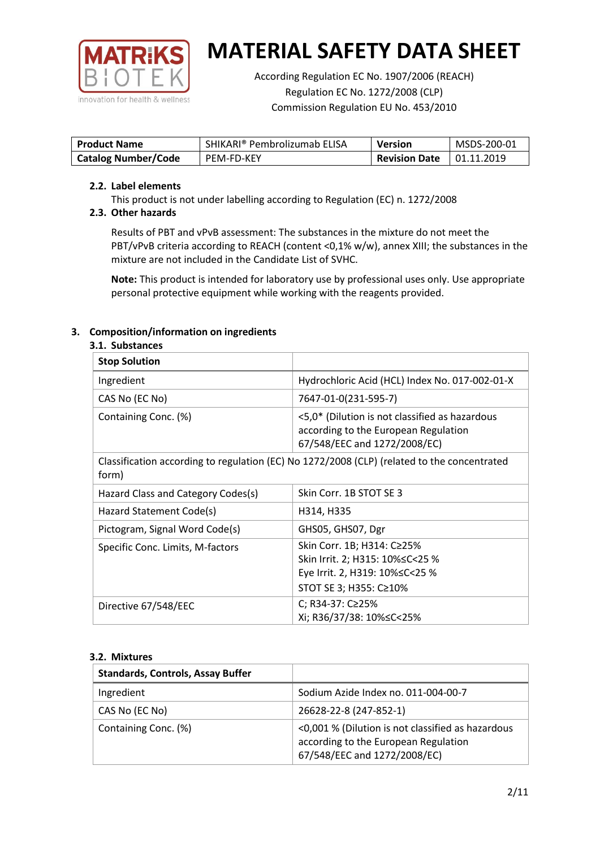

According Regulation EC No. 1907/2006 (REACH) Regulation EC No. 1272/2008 (CLP) Commission Regulation EU No. 453/2010

| <b>Product Name</b>        | SHIKARI® Pembrolizumab ELISA | <b>Version</b>       | MSDS-200-01       |
|----------------------------|------------------------------|----------------------|-------------------|
| <b>Catalog Number/Code</b> | PEM-FD-KEY                   | <b>Revision Date</b> | $\mid$ 01.11.2019 |

### **2.2. Label elements**

This product is not under labelling according to Regulation (EC) n. 1272/2008

# **2.3. Other hazards**

Results of PBT and vPvB assessment: The substances in the mixture do not meet the PBT/vPvB criteria according to REACH (content <0,1% w/w), annex XIII; the substances in the mixture are not included in the Candidate List of SVHC.

**Note:** This product is intended for laboratory use by professional uses only. Use appropriate personal protective equipment while working with the reagents provided.

# **3. Composition/information on ingredients**

### **3.1. Substances**

| <b>Stop Solution</b>               |                                                                                                                           |
|------------------------------------|---------------------------------------------------------------------------------------------------------------------------|
| Ingredient                         | Hydrochloric Acid (HCL) Index No. 017-002-01-X                                                                            |
| CAS No (EC No)                     | 7647-01-0(231-595-7)                                                                                                      |
| Containing Conc. (%)               | <5,0* (Dilution is not classified as hazardous<br>according to the European Regulation<br>67/548/EEC and 1272/2008/EC)    |
| form)                              | Classification according to regulation (EC) No 1272/2008 (CLP) (related to the concentrated                               |
| Hazard Class and Category Codes(s) | Skin Corr. 1B STOT SE 3                                                                                                   |
| Hazard Statement Code(s)           | H314, H335                                                                                                                |
| Pictogram, Signal Word Code(s)     | GHS05, GHS07, Dgr                                                                                                         |
| Specific Conc. Limits, M-factors   | Skin Corr. 1B; H314: C≥25%<br>Skin Irrit. 2; H315: 10%≤C<25 %<br>Eye Irrit. 2, H319: 10%≤C<25 %<br>STOT SE 3; H355: C≥10% |
| Directive 67/548/EEC               | C; R34-37: C≥25%<br>Xi; R36/37/38: 10%≤C<25%                                                                              |

### **3.2. Mixtures**

| <b>Standards, Controls, Assay Buffer</b> |                                                                                                                           |
|------------------------------------------|---------------------------------------------------------------------------------------------------------------------------|
| Ingredient                               | Sodium Azide Index no. 011-004-00-7                                                                                       |
| CAS No (EC No)                           | 26628-22-8 (247-852-1)                                                                                                    |
| Containing Conc. (%)                     | <0,001 % (Dilution is not classified as hazardous<br>according to the European Regulation<br>67/548/EEC and 1272/2008/EC) |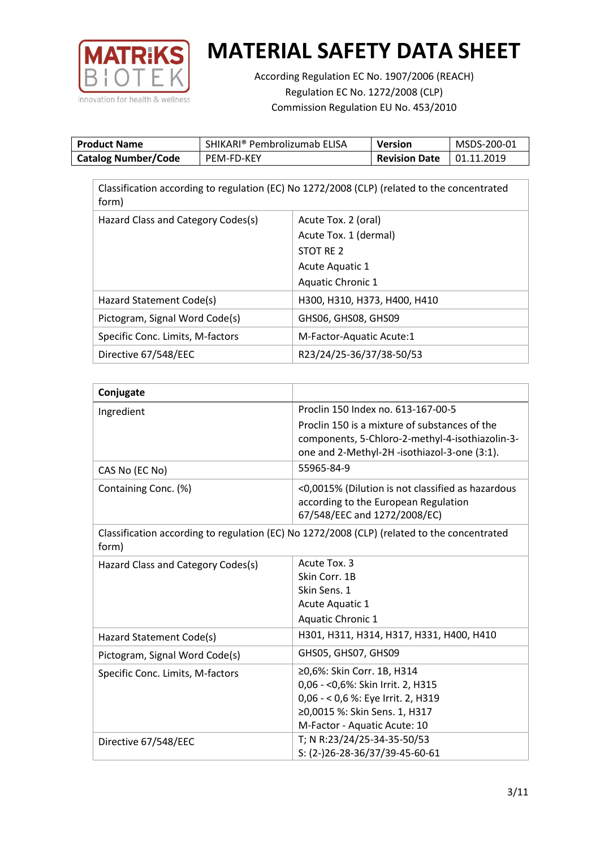

According Regulation EC No. 1907/2006 (REACH) Regulation EC No. 1272/2008 (CLP) Commission Regulation EU No. 453/2010

| <b>Product Name</b>        | SHIKARI® Pembrolizumab ELISA | Version              | MSDS-200-01 |
|----------------------------|------------------------------|----------------------|-------------|
| <b>Catalog Number/Code</b> | <b>PEM-FD-KEY</b>            | <b>Revision Date</b> | 01.11.2019  |

| Classification according to regulation (EC) No 1272/2008 (CLP) (related to the concentrated<br>form) |                              |  |  |
|------------------------------------------------------------------------------------------------------|------------------------------|--|--|
| Hazard Class and Category Codes(s)                                                                   | Acute Tox. 2 (oral)          |  |  |
|                                                                                                      | Acute Tox. 1 (dermal)        |  |  |
|                                                                                                      | STOT RE 2                    |  |  |
|                                                                                                      | <b>Acute Aquatic 1</b>       |  |  |
|                                                                                                      | <b>Aquatic Chronic 1</b>     |  |  |
| Hazard Statement Code(s)                                                                             | H300, H310, H373, H400, H410 |  |  |
| Pictogram, Signal Word Code(s)                                                                       | GHS06, GHS08, GHS09          |  |  |
| Specific Conc. Limits, M-factors                                                                     | M-Factor-Aquatic Acute:1     |  |  |
| Directive 67/548/EEC                                                                                 | R23/24/25-36/37/38-50/53     |  |  |

| Conjugate                          |                                                                                                                                         |
|------------------------------------|-----------------------------------------------------------------------------------------------------------------------------------------|
| Ingredient                         | Proclin 150 Index no. 613-167-00-5                                                                                                      |
|                                    | Proclin 150 is a mixture of substances of the<br>components, 5-Chloro-2-methyl-4-isothiazolin-3-                                        |
|                                    | one and 2-Methyl-2H -isothiazol-3-one (3:1).                                                                                            |
| CAS No (EC No)                     | 55965-84-9                                                                                                                              |
| Containing Conc. (%)               | <0,0015% (Dilution is not classified as hazardous<br>according to the European Regulation<br>67/548/EEC and 1272/2008/EC)               |
| form)                              | Classification according to regulation (EC) No 1272/2008 (CLP) (related to the concentrated                                             |
| Hazard Class and Category Codes(s) | Acute Tox. 3                                                                                                                            |
|                                    | Skin Corr. 1B                                                                                                                           |
|                                    | Skin Sens. 1                                                                                                                            |
|                                    | Acute Aquatic 1                                                                                                                         |
|                                    | Aquatic Chronic 1                                                                                                                       |
| Hazard Statement Code(s)           | H301, H311, H314, H317, H331, H400, H410                                                                                                |
| Pictogram, Signal Word Code(s)     | GHS05, GHS07, GHS09                                                                                                                     |
| Specific Conc. Limits, M-factors   | ≥0,6%: Skin Corr. 1B, H314<br>0,06 - < 0,6%: Skin Irrit. 2, H315<br>0,06 - < 0,6 %: Eye Irrit. 2, H319<br>≥0,0015 %: Skin Sens. 1, H317 |
|                                    | M-Factor - Aquatic Acute: 10                                                                                                            |
| Directive 67/548/EEC               | T; N R:23/24/25-34-35-50/53<br>S: (2-)26-28-36/37/39-45-60-61                                                                           |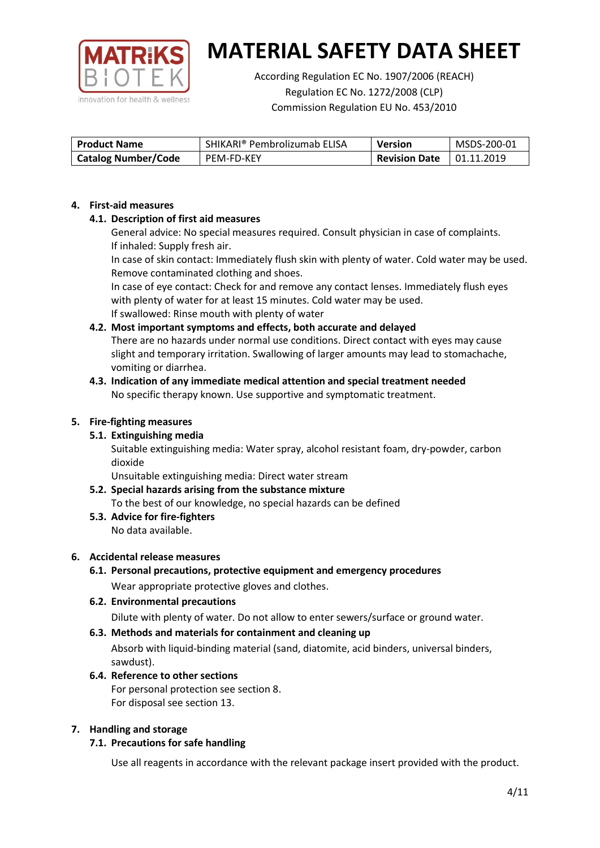

According Regulation EC No. 1907/2006 (REACH) Regulation EC No. 1272/2008 (CLP) Commission Regulation EU No. 453/2010

| <b>Product Name</b>        | SHIKARI® Pembrolizumab ELISA | <b>Version</b>       | MSDS-200-01 |
|----------------------------|------------------------------|----------------------|-------------|
| <b>Catalog Number/Code</b> | <b>PEM-FD-KEY</b>            | <b>Revision Date</b> | 01.11.2019  |

### **4. First-aid measures**

# **4.1. Description of first aid measures**

General advice: No special measures required. Consult physician in case of complaints. If inhaled: Supply fresh air.

In case of skin contact: Immediately flush skin with plenty of water. Cold water may be used. Remove contaminated clothing and shoes.

In case of eye contact: Check for and remove any contact lenses. Immediately flush eyes with plenty of water for at least 15 minutes. Cold water may be used. If swallowed: Rinse mouth with plenty of water

# **4.2. Most important symptoms and effects, both accurate and delayed**

There are no hazards under normal use conditions. Direct contact with eyes may cause slight and temporary irritation. Swallowing of larger amounts may lead to stomachache, vomiting or diarrhea.

### **4.3. Indication of any immediate medical attention and special treatment needed** No specific therapy known. Use supportive and symptomatic treatment.

### **5. Fire-fighting measures**

# **5.1. Extinguishing media**

Suitable extinguishing media: Water spray, alcohol resistant foam, dry-powder, carbon dioxide

Unsuitable extinguishing media: Direct water stream

#### **5.2. Special hazards arising from the substance mixture** To the best of our knowledge, no special hazards can be defined

**5.3. Advice for fire-fighters** No data available.

### **6. Accidental release measures**

- **6.1. Personal precautions, protective equipment and emergency procedures** Wear appropriate protective gloves and clothes.
- **6.2. Environmental precautions** Dilute with plenty of water. Do not allow to enter sewers/surface or ground water.

### **6.3. Methods and materials for containment and cleaning up**

Absorb with liquid-binding material (sand, diatomite, acid binders, universal binders, sawdust).

**6.4. Reference to other sections** For personal protection see section 8. For disposal see section 13.

### **7. Handling and storage**

# **7.1. Precautions for safe handling**

Use all reagents in accordance with the relevant package insert provided with the product.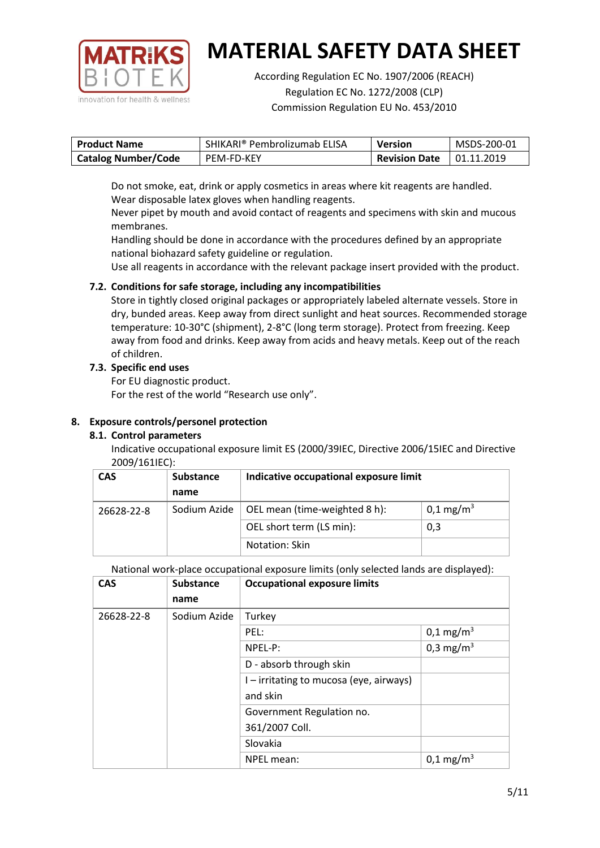

According Regulation EC No. 1907/2006 (REACH) Regulation EC No. 1272/2008 (CLP) Commission Regulation EU No. 453/2010

| <b>Product Name</b>        | SHIKARI® Pembrolizumab ELISA | <b>Version</b>       | MSDS-200-01       |
|----------------------------|------------------------------|----------------------|-------------------|
| <b>Catalog Number/Code</b> | PEM-FD-KEY                   | <b>Revision Date</b> | $\mid$ 01.11.2019 |

Do not smoke, eat, drink or apply cosmetics in areas where kit reagents are handled. Wear disposable latex gloves when handling reagents.

Never pipet by mouth and avoid contact of reagents and specimens with skin and mucous membranes.

Handling should be done in accordance with the procedures defined by an appropriate national biohazard safety guideline or regulation.

Use all reagents in accordance with the relevant package insert provided with the product.

# **7.2. Conditions for safe storage, including any incompatibilities**

Store in tightly closed original packages or appropriately labeled alternate vessels. Store in dry, bunded areas. Keep away from direct sunlight and heat sources. Recommended storage temperature: 10-30°C (shipment), 2-8°C (long term storage). Protect from freezing. Keep away from food and drinks. Keep away from acids and heavy metals. Keep out of the reach of children.

# **7.3. Specific end uses**

For EU diagnostic product.

For the rest of the world "Research use only".

# **8. Exposure controls/personel protection**

# **8.1. Control parameters**

Indicative occupational exposure limit ES (2000/39IEC, Directive 2006/15IEC and Directive 2009/161IEC):

| <b>CAS</b> | <b>Substance</b> | Indicative occupational exposure limit |                         |
|------------|------------------|----------------------------------------|-------------------------|
|            | name             |                                        |                         |
| 26628-22-8 | Sodium Azide     | OEL mean (time-weighted 8 h):          | $0,1 \,\mathrm{mg/m^3}$ |
|            |                  | OEL short term (LS min):               | 0,3                     |
|            |                  | Notation: Skin                         |                         |

National work-place occupational exposure limits (only selected lands are displayed):

| <b>CAS</b> | <b>Substance</b> | <b>Occupational exposure limits</b>     |                       |
|------------|------------------|-----------------------------------------|-----------------------|
|            | name             |                                         |                       |
| 26628-22-8 | Sodium Azide     | Turkey                                  |                       |
|            |                  | PEL:                                    | $0,1 \text{ mg/m}^3$  |
|            |                  | NPEL-P:                                 | 0,3 mg/m <sup>3</sup> |
|            |                  | D - absorb through skin                 |                       |
|            |                  | I – irritating to mucosa (eye, airways) |                       |
|            |                  | and skin                                |                       |
|            |                  | Government Regulation no.               |                       |
|            |                  | 361/2007 Coll.                          |                       |
|            |                  | Slovakia                                |                       |
|            |                  | NPEL mean:                              | $0,1 \text{ mg/m}^3$  |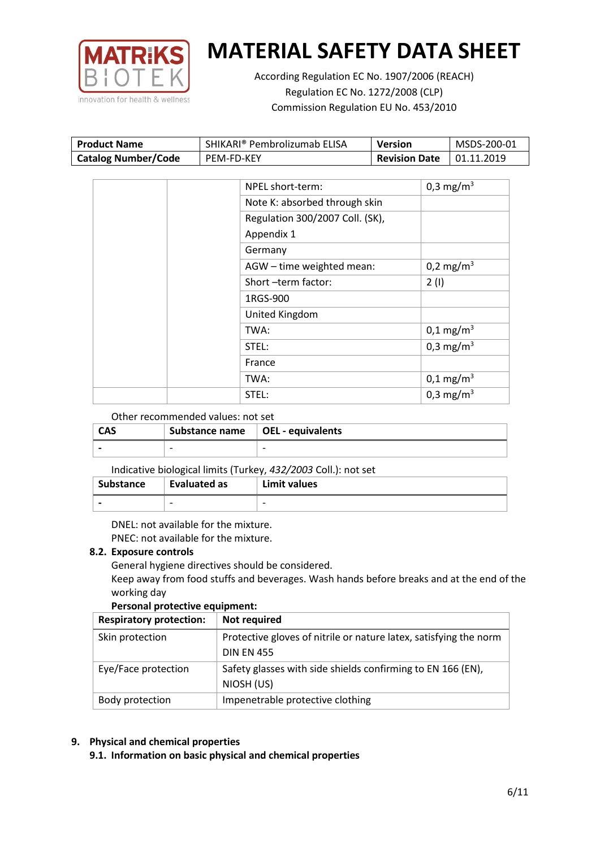

According Regulation EC No. 1907/2006 (REACH) Regulation EC No. 1272/2008 (CLP) Commission Regulation EU No. 453/2010

| <b>Product Name</b>        | SHIKARI® Pembrolizumab ELISA | Version              | MSDS-200-01 |
|----------------------------|------------------------------|----------------------|-------------|
| <b>Catalog Number/Code</b> | PEM-FD-KEY                   | <b>Revision Date</b> | 01.11.2019  |

| NPEL short-term:                | 0,3 mg/m <sup>3</sup> |
|---------------------------------|-----------------------|
| Note K: absorbed through skin   |                       |
| Regulation 300/2007 Coll. (SK), |                       |
| Appendix 1                      |                       |
| Germany                         |                       |
| AGW - time weighted mean:       | 0,2 mg/m <sup>3</sup> |
| Short-term factor:              | 2(1)                  |
| 1RGS-900                        |                       |
| United Kingdom                  |                       |
| TWA:                            | $0,1 \text{ mg/m}^3$  |
| STEL:                           | 0,3 mg/m <sup>3</sup> |
| France                          |                       |
| TWA:                            | $0,1 \text{ mg/m}^3$  |
| STEL:                           | 0,3 mg/m <sup>3</sup> |

### Other recommended values: not set

| <b>CAS</b> | Substance name   OEL - equivalents |   |
|------------|------------------------------------|---|
|            | $\overline{\phantom{0}}$           | - |

### Indicative biological limits (Turkey, *432/2003* Coll.): not set

| <b>Substance</b> | Evaluated as | Limit values |
|------------------|--------------|--------------|
|                  |              |              |

DNEL: not available for the mixture. PNEC: not available for the mixture.

### **8.2. Exposure controls**

General hygiene directives should be considered.

Keep away from food stuffs and beverages. Wash hands before breaks and at the end of the working day

### **Personal protective equipment:**

| <b>Respiratory protection:</b> | <b>Not required</b>                                               |
|--------------------------------|-------------------------------------------------------------------|
| Skin protection                | Protective gloves of nitrile or nature latex, satisfying the norm |
|                                | <b>DIN EN 455</b>                                                 |
| Eye/Face protection            | Safety glasses with side shields confirming to EN 166 (EN),       |
|                                | NIOSH (US)                                                        |
| Body protection                | Impenetrable protective clothing                                  |

# **9. Physical and chemical properties**

**9.1. Information on basic physical and chemical properties**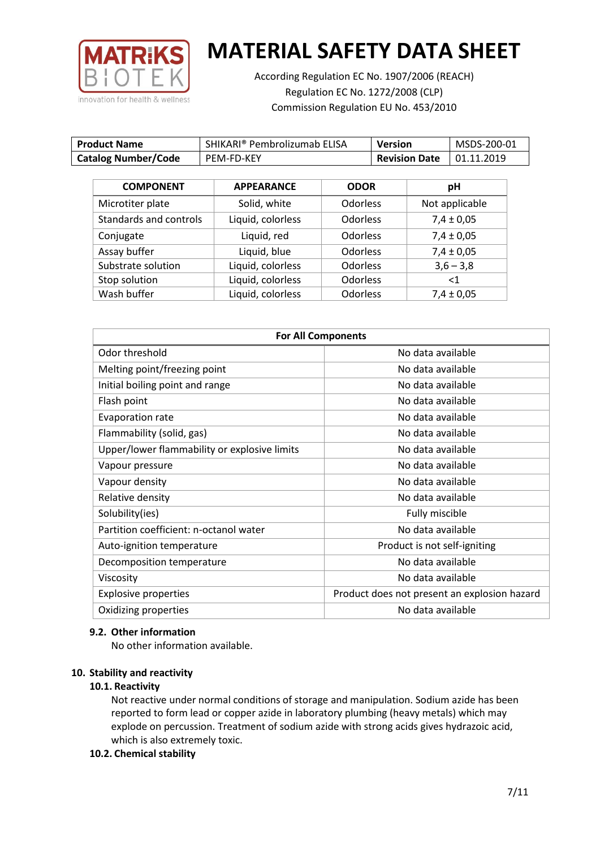

According Regulation EC No. 1907/2006 (REACH) Regulation EC No. 1272/2008 (CLP) Commission Regulation EU No. 453/2010

| <b>Product Name</b>        | SHIKARI® Pembrolizumab ELISA | <b>Version</b>       | MSDS-200-01 |
|----------------------------|------------------------------|----------------------|-------------|
| <b>Catalog Number/Code</b> | PEM-FD-KEY                   | <b>Revision Date</b> | 01.11.2019  |

| <b>COMPONENT</b>       | <b>APPEARANCE</b> | <b>ODOR</b>     | pH             |
|------------------------|-------------------|-----------------|----------------|
| Microtiter plate       | Solid, white      | <b>Odorless</b> | Not applicable |
| Standards and controls | Liquid, colorless | <b>Odorless</b> | $7,4 \pm 0,05$ |
| Conjugate              | Liquid, red       | <b>Odorless</b> | $7,4 \pm 0,05$ |
| Assay buffer           | Liquid, blue      | <b>Odorless</b> | $7,4 \pm 0,05$ |
| Substrate solution     | Liquid, colorless | <b>Odorless</b> | $3,6 - 3,8$    |
| Stop solution          | Liquid, colorless | <b>Odorless</b> | ${<}1$         |
| Wash buffer            | Liquid, colorless | <b>Odorless</b> | $7,4 \pm 0,05$ |

| <b>For All Components</b>                    |                                              |  |
|----------------------------------------------|----------------------------------------------|--|
| Odor threshold                               | No data available                            |  |
| Melting point/freezing point                 | No data available                            |  |
| Initial boiling point and range              | No data available                            |  |
| Flash point                                  | No data available                            |  |
| Evaporation rate                             | No data available                            |  |
| Flammability (solid, gas)                    | No data available                            |  |
| Upper/lower flammability or explosive limits | No data available                            |  |
| Vapour pressure                              | No data available                            |  |
| Vapour density                               | No data available                            |  |
| Relative density                             | No data available                            |  |
| Solubility(ies)                              | Fully miscible                               |  |
| Partition coefficient: n-octanol water       | No data available                            |  |
| Auto-ignition temperature                    | Product is not self-igniting                 |  |
| Decomposition temperature                    | No data available                            |  |
| Viscosity                                    | No data available                            |  |
| <b>Explosive properties</b>                  | Product does not present an explosion hazard |  |
| Oxidizing properties                         | No data available                            |  |

### **9.2. Other information**

No other information available.

### **10. Stability and reactivity**

### **10.1. Reactivity**

Not reactive under normal conditions of storage and manipulation. Sodium azide has been reported to form lead or copper azide in laboratory plumbing (heavy metals) which may explode on percussion. Treatment of sodium azide with strong acids gives hydrazoic acid, which is also extremely toxic.

### **10.2. Chemical stability**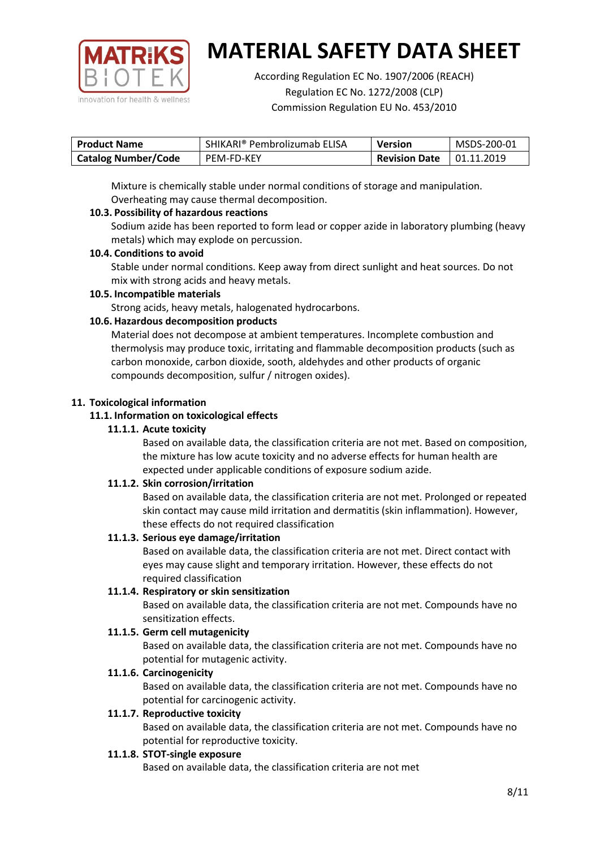

According Regulation EC No. 1907/2006 (REACH) Regulation EC No. 1272/2008 (CLP) Commission Regulation EU No. 453/2010

| <b>Product Name</b>        | SHIKARI® Pembrolizumab ELISA | <b>Version</b>       | MSDS-200-01 |
|----------------------------|------------------------------|----------------------|-------------|
| <b>Catalog Number/Code</b> | PEM-FD-KEY                   | <b>Revision Date</b> | 01.11.2019  |

Mixture is chemically stable under normal conditions of storage and manipulation. Overheating may cause thermal decomposition.

# **10.3. Possibility of hazardous reactions**

Sodium azide has been reported to form lead or copper azide in laboratory plumbing (heavy metals) which may explode on percussion.

### **10.4. Conditions to avoid**

Stable under normal conditions. Keep away from direct sunlight and heat sources. Do not mix with strong acids and heavy metals.

### **10.5. Incompatible materials**

Strong acids, heavy metals, halogenated hydrocarbons.

# **10.6. Hazardous decomposition products**

Material does not decompose at ambient temperatures. Incomplete combustion and thermolysis may produce toxic, irritating and flammable decomposition products (such as carbon monoxide, carbon dioxide, sooth, aldehydes and other products of organic compounds decomposition, sulfur / nitrogen oxides).

### **11. Toxicological information**

### **11.1. Information on toxicological effects**

### **11.1.1. Acute toxicity**

Based on available data, the classification criteria are not met. Based on composition, the mixture has low acute toxicity and no adverse effects for human health are expected under applicable conditions of exposure sodium azide.

# **11.1.2. Skin corrosion/irritation**

Based on available data, the classification criteria are not met. Prolonged or repeated skin contact may cause mild irritation and dermatitis (skin inflammation). However, these effects do not required classification

# **11.1.3. Serious eye damage/irritation**

Based on available data, the classification criteria are not met. Direct contact with eyes may cause slight and temporary irritation. However, these effects do not required classification

### **11.1.4. Respiratory or skin sensitization**

Based on available data, the classification criteria are not met. Compounds have no sensitization effects.

# **11.1.5. Germ cell mutagenicity**

Based on available data, the classification criteria are not met. Compounds have no potential for mutagenic activity.

# **11.1.6. Carcinogenicity**

Based on available data, the classification criteria are not met. Compounds have no potential for carcinogenic activity.

### **11.1.7. Reproductive toxicity**

Based on available data, the classification criteria are not met. Compounds have no potential for reproductive toxicity.

### **11.1.8. STOT-single exposure**

Based on available data, the classification criteria are not met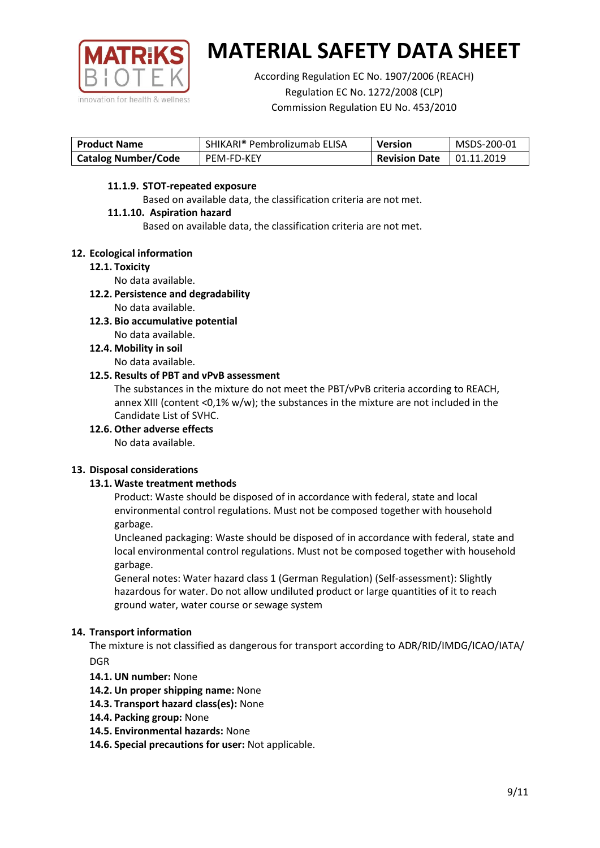

According Regulation EC No. 1907/2006 (REACH) Regulation EC No. 1272/2008 (CLP) Commission Regulation EU No. 453/2010

| <b>Product Name</b>        | SHIKARI® Pembrolizumab ELISA | <b>Version</b>       | MSDS-200-01       |
|----------------------------|------------------------------|----------------------|-------------------|
| <b>Catalog Number/Code</b> | PEM-FD-KEY                   | <b>Revision Date</b> | $\mid$ 01.11.2019 |

### **11.1.9. STOT-repeated exposure**

Based on available data, the classification criteria are not met.

### **11.1.10. Aspiration hazard**

Based on available data, the classification criteria are not met.

### **12. Ecological information**

### **12.1. Toxicity**

No data available.

- **12.2. Persistence and degradability** No data available.
- **12.3. Bio accumulative potential** No data available.
- **12.4. Mobility in soil** No data available.

### **12.5. Results of PBT and vPvB assessment**

The substances in the mixture do not meet the PBT/vPvB criteria according to REACH, annex XIII (content <0,1% w/w); the substances in the mixture are not included in the Candidate List of SVHC.

**12.6. Other adverse effects**

No data available.

# **13. Disposal considerations**

# **13.1. Waste treatment methods**

Product: Waste should be disposed of in accordance with federal, state and local environmental control regulations. Must not be composed together with household garbage.

Uncleaned packaging: Waste should be disposed of in accordance with federal, state and local environmental control regulations. Must not be composed together with household garbage.

General notes: Water hazard class 1 (German Regulation) (Self-assessment): Slightly hazardous for water. Do not allow undiluted product or large quantities of it to reach ground water, water course or sewage system

# **14. Transport information**

The mixture is not classified as dangerous for transport according to ADR/RID/IMDG/ICAO/IATA/ DGR

- **14.1. UN number:** None
- **14.2. Un proper shipping name:** None
- **14.3. Transport hazard class(es):** None
- **14.4. Packing group:** None
- **14.5. Environmental hazards:** None
- **14.6. Special precautions for user:** Not applicable.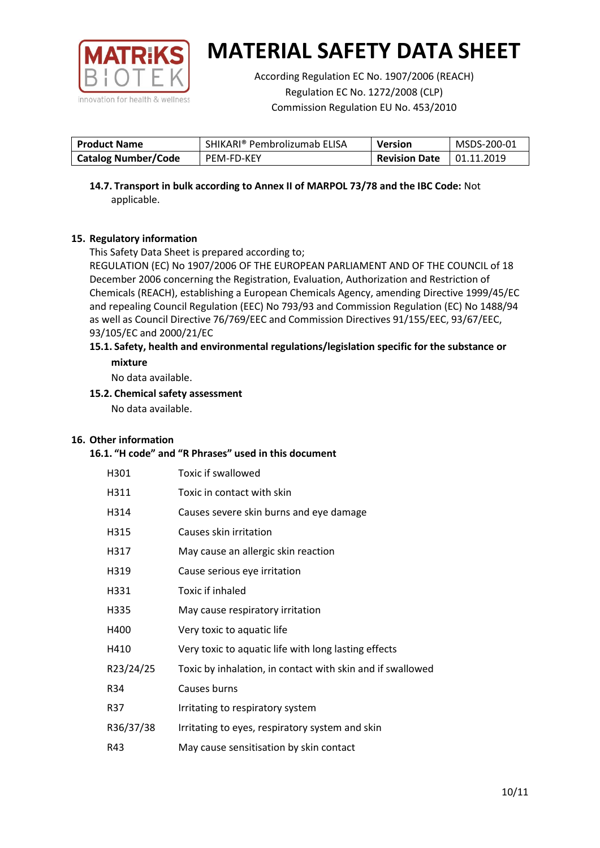

According Regulation EC No. 1907/2006 (REACH) Regulation EC No. 1272/2008 (CLP) Commission Regulation EU No. 453/2010

| <b>Product Name</b>        | SHIKARI® Pembrolizumab ELISA | <b>Version</b>       | MSDS-200-01       |
|----------------------------|------------------------------|----------------------|-------------------|
| <b>Catalog Number/Code</b> | PEM-FD-KEY                   | <b>Revision Date</b> | $\mid$ 01.11.2019 |

**14.7. Transport in bulk according to Annex II of MARPOL 73/78 and the IBC Code:** Not applicable.

# **15. Regulatory information**

This Safety Data Sheet is prepared according to;

REGULATION (EC) No 1907/2006 OF THE EUROPEAN PARLIAMENT AND OF THE COUNCIL of 18 December 2006 concerning the Registration, Evaluation, Authorization and Restriction of Chemicals (REACH), establishing a European Chemicals Agency, amending Directive 1999/45/EC and repealing Council Regulation (EEC) No 793/93 and Commission Regulation (EC) No 1488/94 as well as Council Directive 76/769/EEC and Commission Directives 91/155/EEC, 93/67/EEC, 93/105/EC and 2000/21/EC

### **15.1. Safety, health and environmental regulations/legislation specific for the substance or mixture**

No data available.

# **15.2. Chemical safety assessment**

No data available.

# **16. Other information**

### **16.1. "H code" and "R Phrases" used in this document**

| H301      | Toxic if swallowed                                         |
|-----------|------------------------------------------------------------|
| H311      | Toxic in contact with skin                                 |
| H314      | Causes severe skin burns and eye damage                    |
| H315      | Causes skin irritation                                     |
| H317      | May cause an allergic skin reaction                        |
| H319      | Cause serious eye irritation                               |
| H331      | Toxic if inhaled                                           |
| H335      | May cause respiratory irritation                           |
| H400      | Very toxic to aquatic life                                 |
| H410      | Very toxic to aquatic life with long lasting effects       |
| R23/24/25 | Toxic by inhalation, in contact with skin and if swallowed |
| R34       | Causes burns                                               |
| R37       | Irritating to respiratory system                           |
| R36/37/38 | Irritating to eyes, respiratory system and skin            |
| R43       | May cause sensitisation by skin contact                    |
|           |                                                            |